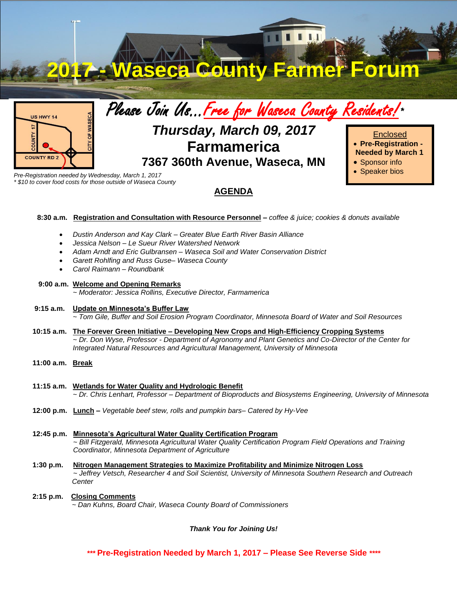

*\* \$10 to cover food costs for those outside of Waseca County*

## **AGENDA**

- **8:30 a.m. Registration and Consultation with Resource Personnel –** *coffee & juice; cookies & donuts available*
	- *Dustin Anderson and Kay Clark – Greater Blue Earth River Basin Alliance*
	- *Jessica Nelson – Le Sueur River Watershed Network*
	- *Adam Arndt and Eric Gulbransen – Waseca Soil and Water Conservation District*
	- *Garett Rohlfing and Russ Guse– Waseca County*
	- *Carol Raimann – Roundbank*

### **9:00 a.m. Welcome and Opening Remarks**

*~ Moderator: Jessica Rollins, Executive Director, Farmamerica*

#### **9:15 a.m. Update on Minnesota's Buffer Law**

*~ Tom Gile, Buffer and Soil Erosion Program Coordinator, Minnesota Board of Water and Soil Resources*

- **10:15 a.m. The Forever Green Initiative – Developing New Crops and High-Efficiency Cropping Systems** *~ Dr. Don Wyse, Professor - Department of Agronomy and Plant Genetics and Co-Director of the Center for Integrated Natural Resources and Agricultural Management, University of Minnesota*
- **11:00 a.m. Break**
- **11:15 a.m. Wetlands for Water Quality and Hydrologic Benefit** *~ Dr. Chris Lenhart, Professor – Department of Bioproducts and Biosystems Engineering, University of Minnesota*
- **12:00 p.m. Lunch –** *Vegetable beef stew, rolls and pumpkin bars– Catered by Hy-Vee*
- **12:45 p.m. Minnesota's Agricultural Water Quality Certification Program** *~ Bill Fitzgerald, Minnesota Agricultural Water Quality Certification Program Field Operations and Training Coordinator, Minnesota Department of Agriculture*
- **1:30 p.m. Nitrogen Management Strategies to Maximize Profitability and Minimize Nitrogen Loss**  *~ Jeffrey Vetsch, Researcher 4 and Soil Scientist, University of Minnesota Southern Research and Outreach Center*
- **2:15 p.m. Closing Comments** *~ Dan Kuhns, Board Chair, Waseca County Board of Commissioners*

*Thank You for Joining Us!*

*\*\*\** **Pre-Registration Needed by March 1, 2017 – Please See Reverse Side** *\*\*\*\**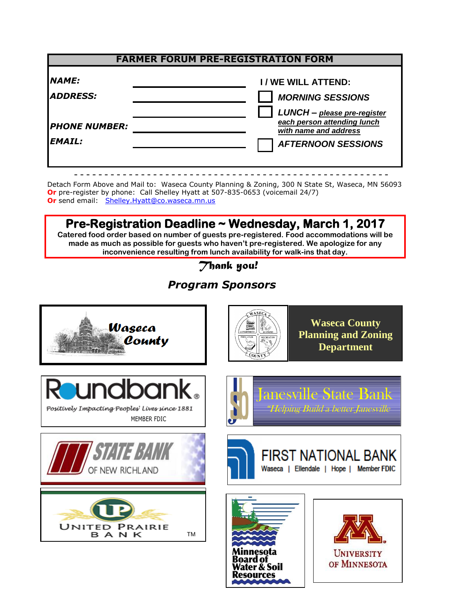| <b>FARMER FORUM PRE-REGISTRATION FORM</b> |                                                                                     |
|-------------------------------------------|-------------------------------------------------------------------------------------|
| <b>NAME:</b><br><b>ADDRESS:</b>           | I / WE WILL ATTEND:<br><b>MORNING SESSIONS</b>                                      |
| <b>PHONE NUMBER:</b>                      | LUNCH - please pre-register<br>each person attending lunch<br>with name and address |
| <b>EMAIL:</b>                             | <b>AFTERNOON SESSIONS</b>                                                           |

Detach Form Above and Mail to: Waseca County Planning & Zoning, 300 N State St, Waseca, MN 56093 **Or** pre-register by phone: Call Shelley Hyatt at 507-835-0653 (voicemail 24/7) **Or** send email: [Shelley.Hyatt@co.waseca.mn.us](mailto:Shelley.Hyatt@co.waseca.mn.us)

**Pre-Registration Deadline ~ Wednesday, March 1, 2017 Catered food order based on number of guests pre-registered. Food accommodations will be made as much as possible for guests who haven't pre-registered. We apologize for any inconvenience resulting from lunch availability for walk-ins that day.**

*Thank you!* 

# *Program Sponsors*



Resources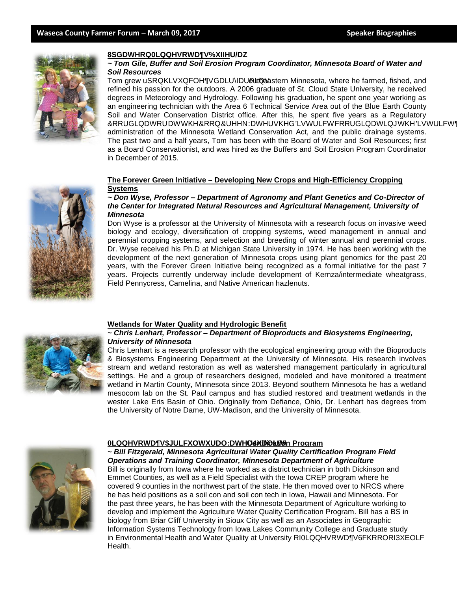![](_page_2_Picture_2.jpeg)

#### *~ Tom Gile, Buffer and Soil Erosion Program Coordinator, Minnesota Board of Water and Soil Resources*

Tom grew uSRQKLVQFOHTGDLUIDUPLQWheastern Minnesota, where he farmed, fished, and refined his passion for the outdoors. A 2006 graduate of St. Cloud State University, he received degrees in Meteorology and Hydrology. Following his graduation, he spent one year working as an engineering technician with the Area 6 Technical Service Area out of the Blue Earth County Soil and Water Conservation District office. After this, he spent five years as a Regulatory &RRUGLQDWRUDWWKH&RRQ&UHHNDWHUVKHGLVWULFWFRRUGLQDWLQJWKHLVWULFWW administration of the Minnesota Wetland Conservation Act, and the public drainage systems. The past two and a half years, Tom has been with the Board of Water and Soil Resources; first as a Board Conservationist, and was hired as the Buffers and Soil Erosion Program Coordinator in December of 2015.

#### **The Forever Green Initiative ± Developing New Crops and High-Efficiency Cropping Systems**

#### *~ Don Wyse, Professor – Department of Agronomy and Plant Genetics and Co-Director of the Center for Integrated Natural Resources and Agricultural Management, University of Minnesota*

Don Wyse is a professor at the University of Minnesota with a research focus on invasive weed biology and ecology, diversification of cropping systems, weed management in annual and perennial cropping systems, and selection and breeding of winter annual and perennial crops. Dr. Wyse received his Ph.D at Michigan State University in 1974. He has been working with the development of the next generation of Minnesota crops using plant genomics for the past 20 years, with the Forever Green Initiative being recognized as a formal initiative for the past 7 years. Projects currently underway include development of Kernza/intermediate wheatgrass, Field Pennycress, Camelina, and Native American hazlenuts.

![](_page_2_Picture_8.jpeg)

#### **Wetlands for Water Quality and Hydrologic Benefit**

#### *~ Chris Lenhart, Professor – Department of Bioproducts and Biosystems Engineering, University of Minnesota*

Chris Lenhart is a research professor with the ecological engineering group with the Bioproducts & Biosystems Engineering Department at the University of Minnesota. His research involves stream and wetland restoration as well as watershed management particularly in agricultural settings. He and a group of researchers designed, modeled and have monitored a treatment wetland in Martin County, Minnesota since 2013. Beyond southern Minnesota he has a wetland mesocom lab on the St. Paul campus and has studied restored and treatment wetlands in the wester Lake Eris Basin of Ohio. Originally from Defiance, Ohio, Dr. Lenhart has degrees from the University of Notre Dame, UW-Madison, and the University of Minnesota.

![](_page_2_Picture_12.jpeg)

#### **Certification Program**

*~ Bill Fitzgerald, Minnesota Agricultural Water Quality Certification Program Field Operations and Training Coordinator, Minnesota Department of Agriculture*

Bill is originally from Iowa where he worked as a district technician in both Dickinson and Emmet Counties, as well as a Field Specialist with the Iowa CREP program where he covered 9 counties in the northwest part of the state. He then moved over to NRCS where he has held positions as a soil con and soil con tech in Iowa, Hawaii and Minnesota. For the past three years, he has been with the Minnesota Department of Agriculture working to develop and implement the Agriculture Water Quality Certification Program. Bill has a BS in biology from Briar Cliff University in Sioux City as well as an Associates in Geographic Information Systems Technology from Iowa Lakes Community College and Graduate study in Environmental Health and Water Quality at University RI0LQQHVRWDW6FKRRORI3KOLF Health.